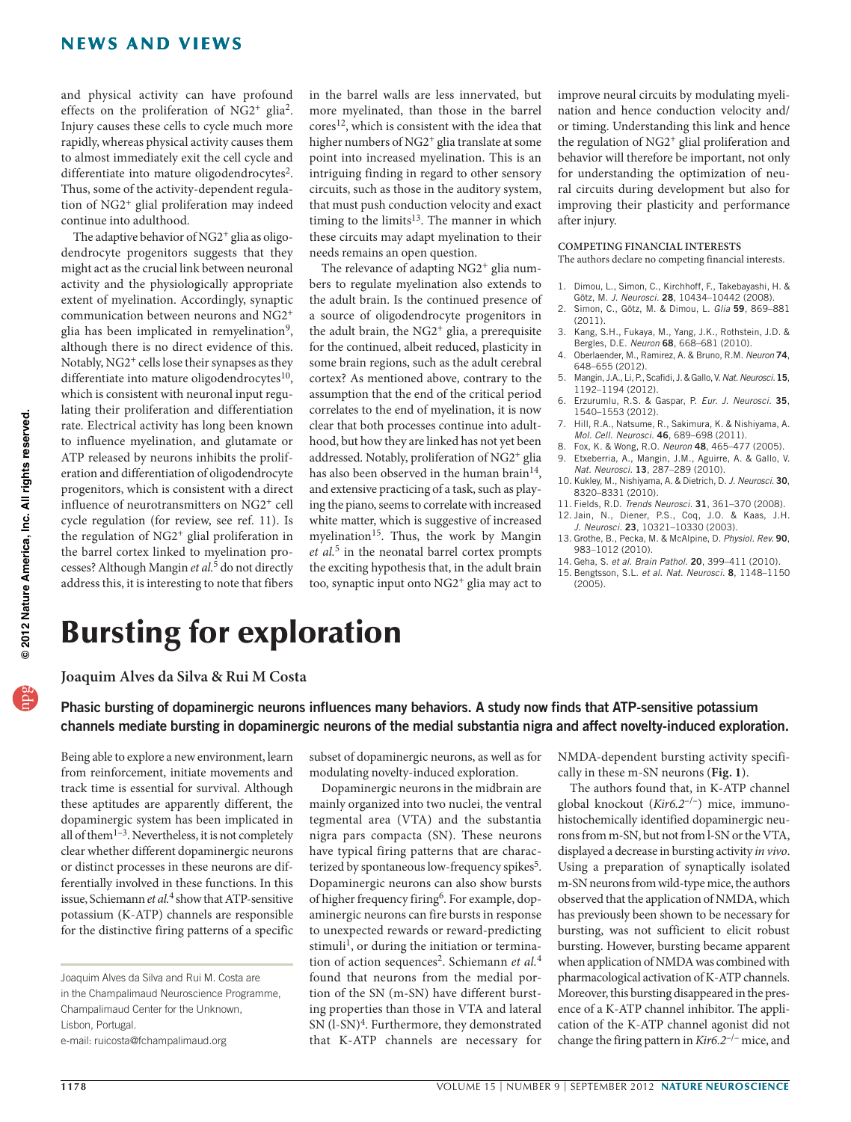and physical activity can have profound effects on the proliferation of NG2<sup>+</sup> glia<sup>2</sup>. Injury causes these cells to cycle much more rapidly, whereas physical activity causes them to almost immediately exit the cell cycle and differentiate into mature oligodendrocytes<sup>2</sup>. Thus, some of the activity-dependent regulation of NG2+ glial proliferation may indeed continue into adulthood.

The adaptive behavior of NG2<sup>+</sup> glia as oligodendrocyte progenitors suggests that they might act as the crucial link between neuronal activity and the physiologically appropriate extent of myelination. Accordingly, synaptic communication between neurons and NG2+ glia has been implicated in remyelination<sup>9</sup>, although there is no direct evidence of this. Notably, NG2<sup>+</sup> cells lose their synapses as they differentiate into mature oligodendrocytes $10$ , which is consistent with neuronal input regulating their proliferation and differentiation rate. Electrical activity has long been known to influence myelination, and glutamate or ATP released by neurons inhibits the proliferation and differentiation of oligodendrocyte progenitors, which is consistent with a direct influence of neurotransmitters on NG2+ cell cycle regulation (for review, see ref. 11). Is the regulation of NG2+ glial proliferation in the barrel cortex linked to myelination processes? Although Mangin *et al.*5 do not directly address this, it is interesting to note that fibers

in the barrel walls are less innervated, but more myelinated, than those in the barrel cores<sup>12</sup>, which is consistent with the idea that higher numbers of NG2<sup>+</sup> glia translate at some point into increased myelination. This is an intriguing finding in regard to other sensory circuits, such as those in the auditory system, that must push conduction velocity and exact timing to the limits<sup>13</sup>. The manner in which these circuits may adapt myelination to their needs remains an open question.

The relevance of adapting NG2<sup>+</sup> glia numbers to regulate myelination also extends to the adult brain. Is the continued presence of a source of oligodendrocyte progenitors in the adult brain, the NG2<sup>+</sup> glia, a prerequisite for the continued, albeit reduced, plasticity in some brain regions, such as the adult cerebral cortex? As mentioned above, contrary to the assumption that the end of the critical period correlates to the end of myelination, it is now clear that both processes continue into adulthood, but how they are linked has not yet been addressed. Notably, proliferation of NG2+ glia has also been observed in the human brain<sup>14</sup>, and extensive practicing of a task, such as playing the piano, seems to correlate with increased white matter, which is suggestive of increased myelination<sup>15</sup>. Thus, the work by Mangin *et al.*5 in the neonatal barrel cortex prompts the exciting hypothesis that, in the adult brain too, synaptic input onto NG2+ glia may act to

improve neural circuits by modulating myelination and hence conduction velocity and/ or timing. Understanding this link and hence the regulation of NG2<sup>+</sup> glial proliferation and behavior will therefore be important, not only for understanding the optimization of neural circuits during development but also for improving their plasticity and performance after injury.

## **COMPETING FINANCIAL INTERESTS**

The authors declare no competing financial interests.

- 1. Dimou, L., Simon, C., Kirchhoff, F., Takebayashi, H. & Götz, M. *J. Neurosci.* 28, 10434–10442 (2008).
- 2. Simon, C., Götz, M. & Dimou, L. *Glia* 59, 869–881 (2011).
- 3. Kang, S.H., Fukaya, M., Yang, J.K., Rothstein, J.D. & Bergles, D.E. *Neuron* 68, 668–681 (2010).
- 4. Oberlaender, M., Ramirez, A. & Bruno, R.M. *Neuron* 74, 648–655 (2012).
- 5. Mangin, J.A., Li, P., Scafidi, J. & Gallo, V. *Nat. Neurosci.*15, 1192–1194 (2012).
- 6. Erzurumlu, R.S. & Gaspar, P. *Eur. J. Neurosci.* 35, 1540–1553 (2012).
- 7. Hill, R.A., Natsume, R., Sakimura, K. & Nishiyama, A. *Mol. Cell. Neurosci.* 46, 689–698 (2011).
- 8. Fox, K. & Wong, R.O. *Neuron* 48, 465–477 (2005). 9. Etxeberria, A., Mangin, J.M., Aguirre, A. & Gallo, V.
- *Nat. Neurosci.* 13, 287–289 (2010).
- 10. Kukley, M., Nishiyama, A. & Dietrich, D. *J. Neurosci.* 30, 8320–8331 (2010).
- 11. Fields, R.D. *Trends Neurosci.* 31, 361–370 (2008).
- 12. Jain, N., Diener, P.S., Coq, J.O. & Kaas, J.H. *J. Neurosci.* 23, 10321–10330 (2003).
- 13. Grothe, B., Pecka, M. & McAlpine, D. *Physiol. Rev.* 90, 983–1012 (2010).
- 14. Geha, S. *et al. Brain Pathol.* 20, 399–411 (2010).
- 15. Bengtsson, S.L. *et al. Nat. Neurosci.* 8, 1148–1150 (2005).

## Bursting for exploration

**Joaquim Alves da Silva & Rui M Costa**

Phasic bursting of dopaminergic neurons influences many behaviors. A study now finds that ATP-sensitive potassium channels mediate bursting in dopaminergic neurons of the medial substantia nigra and affect novelty-induced exploration.

Being able to explore a new environment, learn from reinforcement, initiate movements and track time is essential for survival. Although these aptitudes are apparently different, the dopaminergic system has been implicated in all of the $m^{1-3}$ . Nevertheless, it is not completely clear whether different dopaminergic neurons or distinct processes in these neurons are differentially involved in these functions. In this issue, Schiemann *et al.*4 show that ATP-sensitive potassium (K-ATP) channels are responsible for the distinctive firing patterns of a specific

subset of dopaminergic neurons, as well as for modulating novelty-induced exploration.

Dopaminergic neurons in the midbrain are mainly organized into two nuclei, the ventral tegmental area (VTA) and the substantia nigra pars compacta (SN). These neurons have typical firing patterns that are characterized by spontaneous low-frequency spikes<sup>5</sup>. Dopaminergic neurons can also show bursts of higher frequency firing<sup>6</sup>. For example, dopaminergic neurons can fire bursts in response to unexpected rewards or reward-predicting stimuli<sup>1</sup>, or during the initiation or termination of action sequences<sup>2</sup>. Schiemann *et al.*<sup>4</sup> found that neurons from the medial portion of the SN (m-SN) have different bursting properties than those in VTA and lateral  $SN$  (1-SN)<sup>4</sup>. Furthermore, they demonstrated that K-ATP channels are necessary for

NMDA-dependent bursting activity specifically in these m-SN neurons (**Fig. 1**).

The authors found that, in K-ATP channel global knockout (*Kir6.2*–/–) mice, immunohistochemically identified dopaminergic neurons from m-SN, but not from l-SN or the VTA, displayed a decrease in bursting activity *in vivo*. Using a preparation of synaptically isolated m-SN neurons from wild-type mice, the authors observed that the application of NMDA, which has previously been shown to be necessary for bursting, was not sufficient to elicit robust bursting. However, bursting became apparent when application of NMDA was combined with pharmacological activation of K-ATP channels. Moreover, this bursting disappeared in the presence of a K-ATP channel inhibitor. The application of the K-ATP channel agonist did not change the firing pattern in *Kir6.2*–/– mice, and

Joaquim Alves da Silva and Rui M. Costa are in the Champalimaud Neuroscience Programme, Champalimaud Center for the Unknown, Lisbon, Portugal.

e-mail: ruicosta@fchampalimaud.org